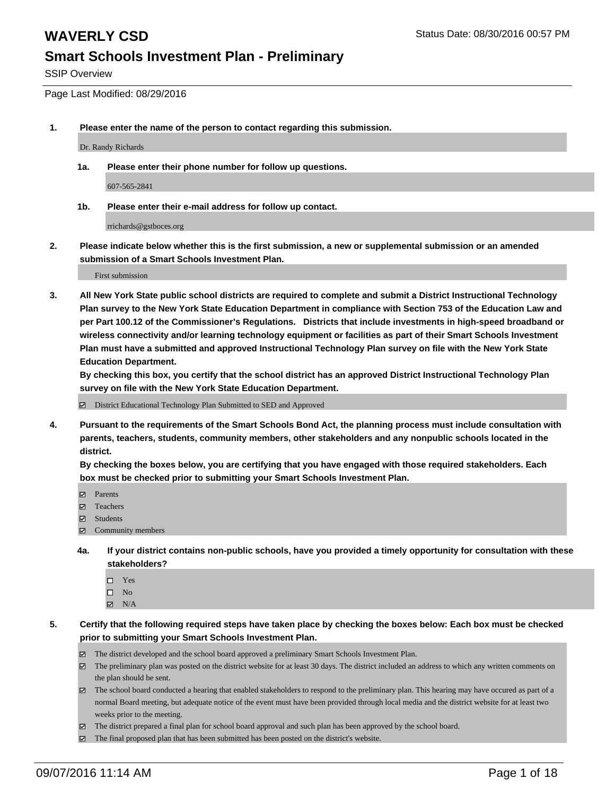SSIP Overview

Page Last Modified: 08/29/2016

**1. Please enter the name of the person to contact regarding this submission.**

Dr. Randy Richards

**1a. Please enter their phone number for follow up questions.**

607-565-2841

**1b. Please enter their e-mail address for follow up contact.**

rrichards@gstboces.org

**2. Please indicate below whether this is the first submission, a new or supplemental submission or an amended submission of a Smart Schools Investment Plan.**

First submission

**3. All New York State public school districts are required to complete and submit a District Instructional Technology Plan survey to the New York State Education Department in compliance with Section 753 of the Education Law and per Part 100.12 of the Commissioner's Regulations. Districts that include investments in high-speed broadband or wireless connectivity and/or learning technology equipment or facilities as part of their Smart Schools Investment Plan must have a submitted and approved Instructional Technology Plan survey on file with the New York State Education Department.** 

**By checking this box, you certify that the school district has an approved District Instructional Technology Plan survey on file with the New York State Education Department.**

District Educational Technology Plan Submitted to SED and Approved

**4. Pursuant to the requirements of the Smart Schools Bond Act, the planning process must include consultation with parents, teachers, students, community members, other stakeholders and any nonpublic schools located in the district.** 

**By checking the boxes below, you are certifying that you have engaged with those required stakeholders. Each box must be checked prior to submitting your Smart Schools Investment Plan.**

- Parents
- □ Teachers
- **☑** Students
- Community members
- **4a. If your district contains non-public schools, have you provided a timely opportunity for consultation with these stakeholders?**
	- $\Box$  Yes  $\square$  No
	- $\boxtimes$  N/A
- **5. Certify that the following required steps have taken place by checking the boxes below: Each box must be checked prior to submitting your Smart Schools Investment Plan.**
	- The district developed and the school board approved a preliminary Smart Schools Investment Plan.
	- $\boxtimes$  The preliminary plan was posted on the district website for at least 30 days. The district included an address to which any written comments on the plan should be sent.
	- $\boxtimes$  The school board conducted a hearing that enabled stakeholders to respond to the preliminary plan. This hearing may have occured as part of a normal Board meeting, but adequate notice of the event must have been provided through local media and the district website for at least two weeks prior to the meeting.
	- The district prepared a final plan for school board approval and such plan has been approved by the school board.
	- The final proposed plan that has been submitted has been posted on the district's website.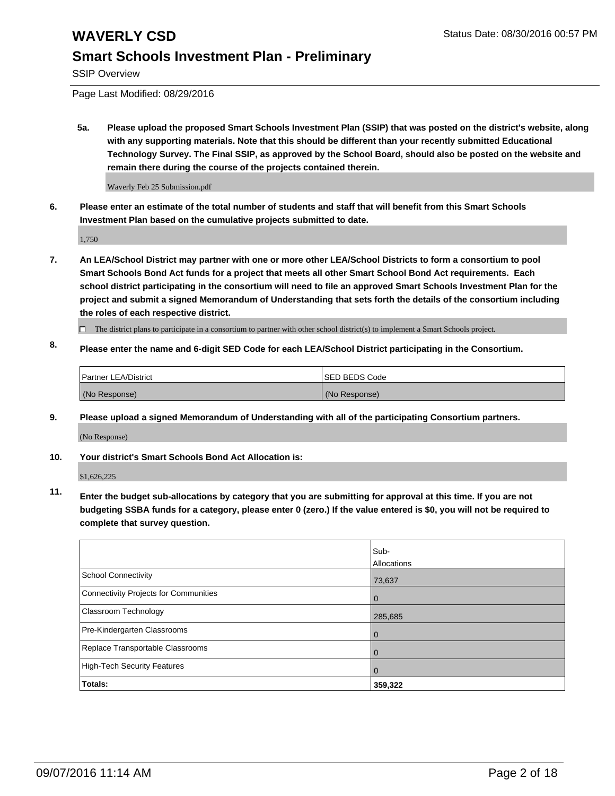SSIP Overview

Page Last Modified: 08/29/2016

**5a. Please upload the proposed Smart Schools Investment Plan (SSIP) that was posted on the district's website, along with any supporting materials. Note that this should be different than your recently submitted Educational Technology Survey. The Final SSIP, as approved by the School Board, should also be posted on the website and remain there during the course of the projects contained therein.**

Waverly Feb 25 Submission.pdf

**6. Please enter an estimate of the total number of students and staff that will benefit from this Smart Schools Investment Plan based on the cumulative projects submitted to date.**

1,750

- **7. An LEA/School District may partner with one or more other LEA/School Districts to form a consortium to pool Smart Schools Bond Act funds for a project that meets all other Smart School Bond Act requirements. Each school district participating in the consortium will need to file an approved Smart Schools Investment Plan for the project and submit a signed Memorandum of Understanding that sets forth the details of the consortium including the roles of each respective district.**
	- $\Box$  The district plans to participate in a consortium to partner with other school district(s) to implement a Smart Schools project.
- **8. Please enter the name and 6-digit SED Code for each LEA/School District participating in the Consortium.**

| Partner LEA/District | <b>ISED BEDS Code</b> |
|----------------------|-----------------------|
| (No Response)        | (No Response)         |

**9. Please upload a signed Memorandum of Understanding with all of the participating Consortium partners.**

(No Response)

### **10. Your district's Smart Schools Bond Act Allocation is:**

\$1,626,225

**11. Enter the budget sub-allocations by category that you are submitting for approval at this time. If you are not budgeting SSBA funds for a category, please enter 0 (zero.) If the value entered is \$0, you will not be required to complete that survey question.**

|                                       | Sub-<br>Allocations |
|---------------------------------------|---------------------|
| <b>School Connectivity</b>            | 73,637              |
| Connectivity Projects for Communities | $\Omega$            |
| Classroom Technology                  | 285,685             |
| Pre-Kindergarten Classrooms           | $\Omega$            |
| Replace Transportable Classrooms      | 0                   |
| High-Tech Security Features           | $\Omega$            |
| <b>Totals:</b>                        | 359,322             |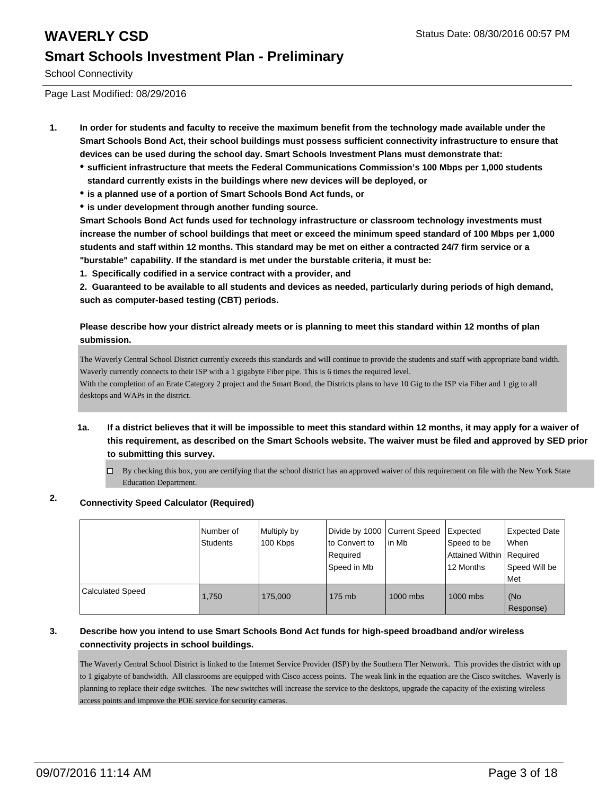School Connectivity

Page Last Modified: 08/29/2016

- **1. In order for students and faculty to receive the maximum benefit from the technology made available under the Smart Schools Bond Act, their school buildings must possess sufficient connectivity infrastructure to ensure that devices can be used during the school day. Smart Schools Investment Plans must demonstrate that:**
	- **sufficient infrastructure that meets the Federal Communications Commission's 100 Mbps per 1,000 students standard currently exists in the buildings where new devices will be deployed, or**
	- **is a planned use of a portion of Smart Schools Bond Act funds, or**
	- **is under development through another funding source.**

**Smart Schools Bond Act funds used for technology infrastructure or classroom technology investments must increase the number of school buildings that meet or exceed the minimum speed standard of 100 Mbps per 1,000 students and staff within 12 months. This standard may be met on either a contracted 24/7 firm service or a "burstable" capability. If the standard is met under the burstable criteria, it must be:**

**1. Specifically codified in a service contract with a provider, and**

**2. Guaranteed to be available to all students and devices as needed, particularly during periods of high demand, such as computer-based testing (CBT) periods.**

**Please describe how your district already meets or is planning to meet this standard within 12 months of plan submission.**

The Waverly Central School District currently exceeds this standards and will continue to provide the students and staff with appropriate band width. Waverly currently connects to their ISP with a 1 gigabyte Fiber pipe. This is 6 times the required level.

With the completion of an Erate Category 2 project and the Smart Bond, the Districts plans to have 10 Gig to the ISP via Fiber and 1 gig to all desktops and WAPs in the district.

- **1a. If a district believes that it will be impossible to meet this standard within 12 months, it may apply for a waiver of this requirement, as described on the Smart Schools website. The waiver must be filed and approved by SED prior to submitting this survey.**
	- $\Box$  By checking this box, you are certifying that the school district has an approved waiver of this requirement on file with the New York State Education Department.

### **2. Connectivity Speed Calculator (Required)**

|                         | Number of<br>Students | Multiply by<br>100 Kbps | Divide by 1000 Current Speed<br>to Convert to<br>Required<br>Speed in Mb | lin Mb   | Expected<br>Speed to be<br>Attained Within   Required<br>12 Months | <b>Expected Date</b><br>l When<br>Speed Will be<br>l Met |
|-------------------------|-----------------------|-------------------------|--------------------------------------------------------------------------|----------|--------------------------------------------------------------------|----------------------------------------------------------|
| <b>Calculated Speed</b> | 1,750                 | 175,000                 | 175 mb                                                                   | 1000 mbs | 1000 mbs                                                           | (No<br>Response)                                         |

### **3. Describe how you intend to use Smart Schools Bond Act funds for high-speed broadband and/or wireless connectivity projects in school buildings.**

The Waverly Central School District is linked to the Internet Service Provider (ISP) by the Southern TIer Network. This provides the district with up to 1 gigabyte of bandwidth. All classrooms are equipped with Cisco access points. The weak link in the equation are the Cisco switches. Waverly is planning to replace their edge switches. The new switches will increase the service to the desktops, upgrade the capacity of the existing wireless access points and improve the POE service for security cameras.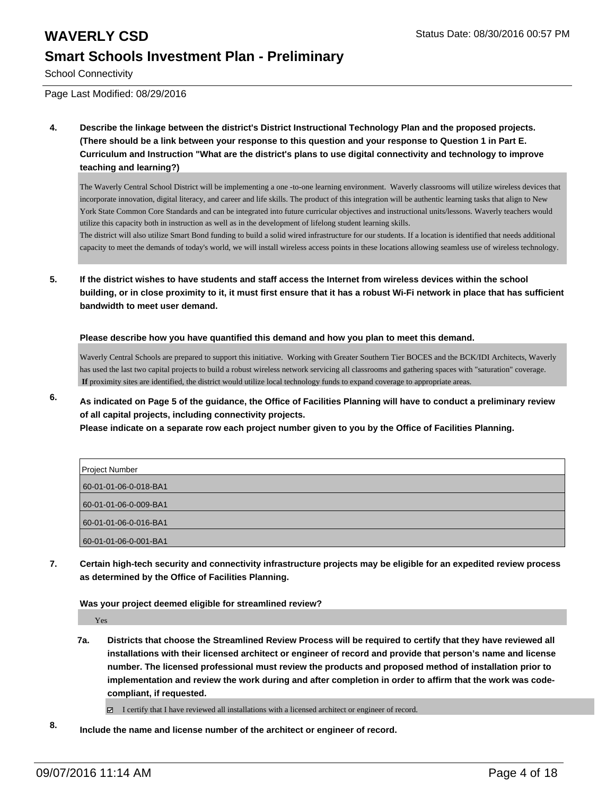# **WAVERLY CSD** Status Date: 08/30/2016 00:57 PM

### **Smart Schools Investment Plan - Preliminary**

School Connectivity

Page Last Modified: 08/29/2016

**4. Describe the linkage between the district's District Instructional Technology Plan and the proposed projects. (There should be a link between your response to this question and your response to Question 1 in Part E. Curriculum and Instruction "What are the district's plans to use digital connectivity and technology to improve teaching and learning?)**

The Waverly Central School District will be implementing a one -to-one learning environment. Waverly classrooms will utilize wireless devices that incorporate innovation, digital literacy, and career and life skills. The product of this integration will be authentic learning tasks that align to New York State Common Core Standards and can be integrated into future curricular objectives and instructional units/lessons. Waverly teachers would utilize this capacity both in instruction as well as in the development of lifelong student learning skills.

The district will also utilize Smart Bond funding to build a solid wired infrastructure for our students. If a location is identified that needs additional capacity to meet the demands of today's world, we will install wireless access points in these locations allowing seamless use of wireless technology.

**5. If the district wishes to have students and staff access the Internet from wireless devices within the school building, or in close proximity to it, it must first ensure that it has a robust Wi-Fi network in place that has sufficient bandwidth to meet user demand.**

**Please describe how you have quantified this demand and how you plan to meet this demand.**

Waverly Central Schools are prepared to support this initiative. Working with Greater Southern Tier BOCES and the BCK/IDI Architects, Waverly has used the last two capital projects to build a robust wireless network servicing all classrooms and gathering spaces with "saturation" coverage.  **If** proximity sites are identified, the district would utilize local technology funds to expand coverage to appropriate areas.

**6. As indicated on Page 5 of the guidance, the Office of Facilities Planning will have to conduct a preliminary review of all capital projects, including connectivity projects.**

**Please indicate on a separate row each project number given to you by the Office of Facilities Planning.**

| Project Number        |
|-----------------------|
| 60-01-01-06-0-018-BA1 |
| 60-01-01-06-0-009-BA1 |
| 60-01-01-06-0-016-BA1 |
| 60-01-01-06-0-001-BA1 |

**7. Certain high-tech security and connectivity infrastructure projects may be eligible for an expedited review process as determined by the Office of Facilities Planning.**

**Was your project deemed eligible for streamlined review?**

Yes

**7a. Districts that choose the Streamlined Review Process will be required to certify that they have reviewed all installations with their licensed architect or engineer of record and provide that person's name and license number. The licensed professional must review the products and proposed method of installation prior to implementation and review the work during and after completion in order to affirm that the work was codecompliant, if requested.**

I certify that I have reviewed all installations with a licensed architect or engineer of record.

**8. Include the name and license number of the architect or engineer of record.**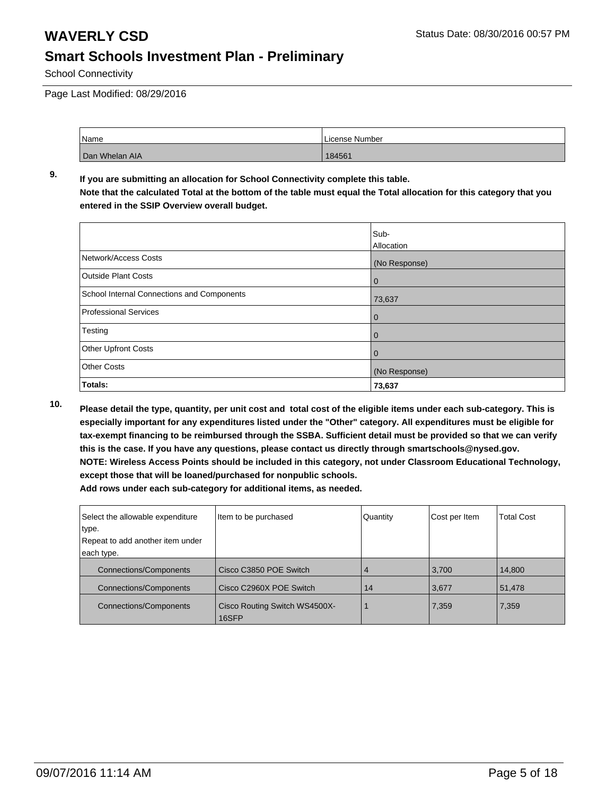School Connectivity

Page Last Modified: 08/29/2016

| Name           | License Number |
|----------------|----------------|
| Dan Whelan AIA | 184561         |

### **9. If you are submitting an allocation for School Connectivity complete this table. Note that the calculated Total at the bottom of the table must equal the Total allocation for this category that you entered in the SSIP Overview overall budget.**

|                                            | Sub-<br>Allocation |
|--------------------------------------------|--------------------|
| Network/Access Costs                       | (No Response)      |
| <b>Outside Plant Costs</b>                 | $\mathbf 0$        |
| School Internal Connections and Components | 73,637             |
| Professional Services                      | $\overline{0}$     |
| Testing                                    | 0                  |
| <b>Other Upfront Costs</b>                 | 0                  |
| <b>Other Costs</b>                         | (No Response)      |
| Totals:                                    | 73,637             |

**10. Please detail the type, quantity, per unit cost and total cost of the eligible items under each sub-category. This is especially important for any expenditures listed under the "Other" category. All expenditures must be eligible for tax-exempt financing to be reimbursed through the SSBA. Sufficient detail must be provided so that we can verify this is the case. If you have any questions, please contact us directly through smartschools@nysed.gov. NOTE: Wireless Access Points should be included in this category, not under Classroom Educational Technology, except those that will be loaned/purchased for nonpublic schools.**

| Select the allowable expenditure | Item to be purchased                   | Quantity | Cost per Item | <b>Total Cost</b> |
|----------------------------------|----------------------------------------|----------|---------------|-------------------|
| type.                            |                                        |          |               |                   |
| Repeat to add another item under |                                        |          |               |                   |
| each type.                       |                                        |          |               |                   |
| <b>Connections/Components</b>    | Cisco C3850 POE Switch                 |          | 3,700         | 14,800            |
| <b>Connections/Components</b>    | Cisco C2960X POE Switch                | 14       | 3,677         | 51,478            |
| <b>Connections/Components</b>    | Cisco Routing Switch WS4500X-<br>16SFP |          | 7,359         | 7,359             |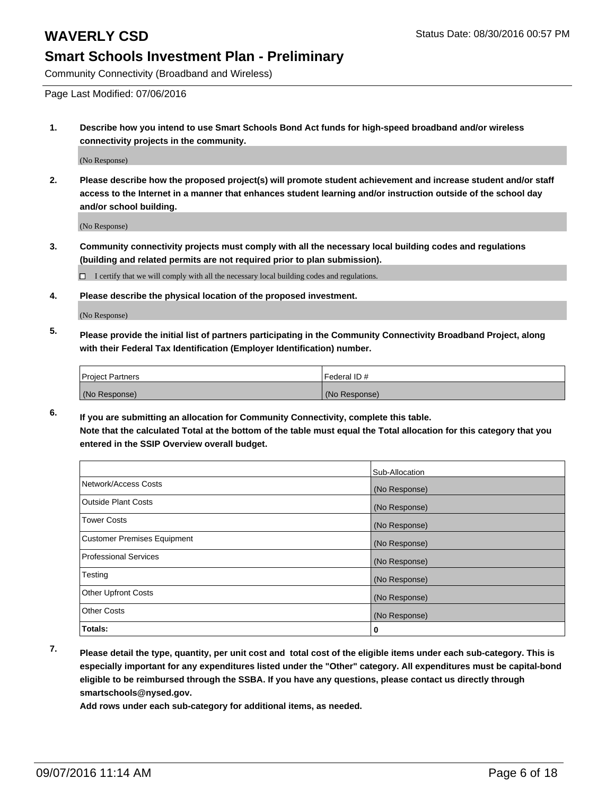Community Connectivity (Broadband and Wireless)

Page Last Modified: 07/06/2016

**1. Describe how you intend to use Smart Schools Bond Act funds for high-speed broadband and/or wireless connectivity projects in the community.**

(No Response)

**2. Please describe how the proposed project(s) will promote student achievement and increase student and/or staff access to the Internet in a manner that enhances student learning and/or instruction outside of the school day and/or school building.**

(No Response)

**3. Community connectivity projects must comply with all the necessary local building codes and regulations (building and related permits are not required prior to plan submission).**

 $\Box$  I certify that we will comply with all the necessary local building codes and regulations.

**4. Please describe the physical location of the proposed investment.**

(No Response)

**5. Please provide the initial list of partners participating in the Community Connectivity Broadband Project, along with their Federal Tax Identification (Employer Identification) number.**

| <b>Project Partners</b> | Federal ID#   |
|-------------------------|---------------|
| (No Response)           | (No Response) |

**6. If you are submitting an allocation for Community Connectivity, complete this table. Note that the calculated Total at the bottom of the table must equal the Total allocation for this category that you entered in the SSIP Overview overall budget.**

|                                    | Sub-Allocation |
|------------------------------------|----------------|
| Network/Access Costs               | (No Response)  |
| <b>Outside Plant Costs</b>         | (No Response)  |
| Tower Costs                        | (No Response)  |
| <b>Customer Premises Equipment</b> | (No Response)  |
| <b>Professional Services</b>       | (No Response)  |
| Testing                            | (No Response)  |
| <b>Other Upfront Costs</b>         | (No Response)  |
| <b>Other Costs</b>                 | (No Response)  |
| Totals:                            | 0              |

**7. Please detail the type, quantity, per unit cost and total cost of the eligible items under each sub-category. This is especially important for any expenditures listed under the "Other" category. All expenditures must be capital-bond eligible to be reimbursed through the SSBA. If you have any questions, please contact us directly through smartschools@nysed.gov.**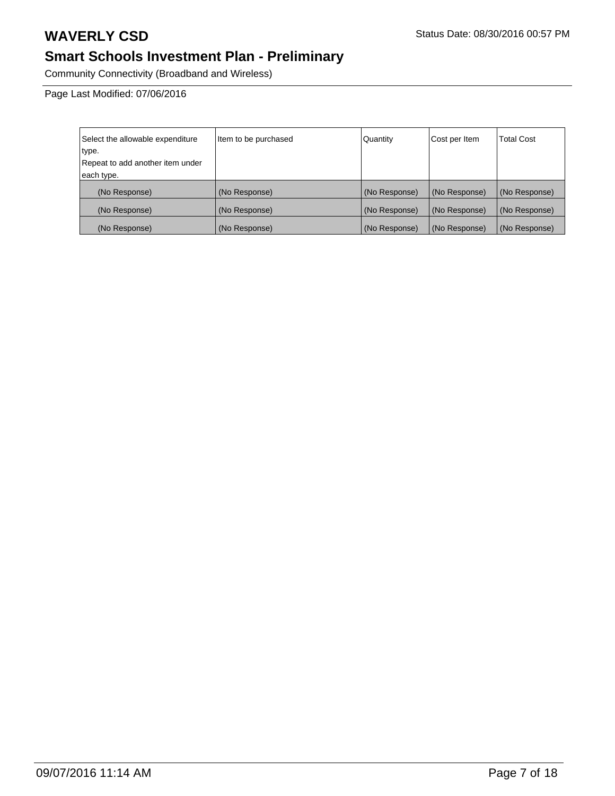Community Connectivity (Broadband and Wireless)

Page Last Modified: 07/06/2016

| Select the allowable expenditure | Item to be purchased | Quantity      | Cost per Item | <b>Total Cost</b> |
|----------------------------------|----------------------|---------------|---------------|-------------------|
| type.                            |                      |               |               |                   |
| Repeat to add another item under |                      |               |               |                   |
| each type.                       |                      |               |               |                   |
| (No Response)                    | (No Response)        | (No Response) | (No Response) | (No Response)     |
| (No Response)                    | (No Response)        | (No Response) | (No Response) | (No Response)     |
| (No Response)                    | (No Response)        | (No Response) | (No Response) | (No Response)     |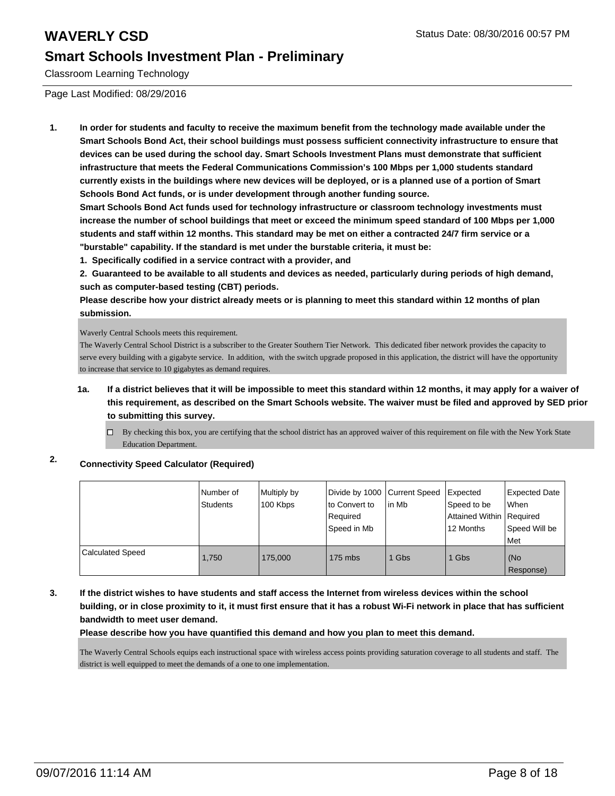Classroom Learning Technology

Page Last Modified: 08/29/2016

**1. In order for students and faculty to receive the maximum benefit from the technology made available under the Smart Schools Bond Act, their school buildings must possess sufficient connectivity infrastructure to ensure that devices can be used during the school day. Smart Schools Investment Plans must demonstrate that sufficient infrastructure that meets the Federal Communications Commission's 100 Mbps per 1,000 students standard currently exists in the buildings where new devices will be deployed, or is a planned use of a portion of Smart Schools Bond Act funds, or is under development through another funding source.**

**Smart Schools Bond Act funds used for technology infrastructure or classroom technology investments must increase the number of school buildings that meet or exceed the minimum speed standard of 100 Mbps per 1,000 students and staff within 12 months. This standard may be met on either a contracted 24/7 firm service or a "burstable" capability. If the standard is met under the burstable criteria, it must be:**

**1. Specifically codified in a service contract with a provider, and**

**2. Guaranteed to be available to all students and devices as needed, particularly during periods of high demand, such as computer-based testing (CBT) periods.**

**Please describe how your district already meets or is planning to meet this standard within 12 months of plan submission.**

Waverly Central Schools meets this requirement.

The Waverly Central School District is a subscriber to the Greater Southern Tier Network. This dedicated fiber network provides the capacity to serve every building with a gigabyte service. In addition, with the switch upgrade proposed in this application, the district will have the opportunity to increase that service to 10 gigabytes as demand requires.

- **1a. If a district believes that it will be impossible to meet this standard within 12 months, it may apply for a waiver of this requirement, as described on the Smart Schools website. The waiver must be filed and approved by SED prior to submitting this survey.**
	- $\Box$  By checking this box, you are certifying that the school district has an approved waiver of this requirement on file with the New York State Education Department.

### **2. Connectivity Speed Calculator (Required)**

|                         | Number of<br><b>Students</b> | Multiply by<br>100 Kbps | Divide by 1000 Current Speed<br>to Convert to<br>Required<br>Speed in Mb | lin Mb | Expected<br>Speed to be<br>Attained Within   Required<br>12 Months | <b>Expected Date</b><br>l When<br>Speed Will be<br>Met |
|-------------------------|------------------------------|-------------------------|--------------------------------------------------------------------------|--------|--------------------------------------------------------------------|--------------------------------------------------------|
| <b>Calculated Speed</b> | 1,750                        | 175,000                 | $175$ mbs                                                                | 1 Gbs  | 1 Gbs                                                              | (No<br>Response)                                       |

**3. If the district wishes to have students and staff access the Internet from wireless devices within the school building, or in close proximity to it, it must first ensure that it has a robust Wi-Fi network in place that has sufficient bandwidth to meet user demand.**

**Please describe how you have quantified this demand and how you plan to meet this demand.**

The Waverly Central Schools equips each instructional space with wireless access points providing saturation coverage to all students and staff. The district is well equipped to meet the demands of a one to one implementation.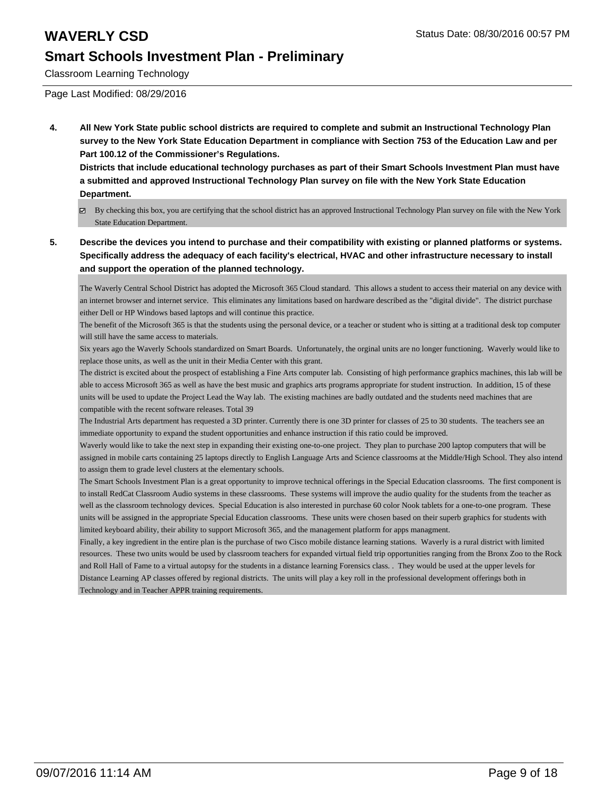Classroom Learning Technology

Page Last Modified: 08/29/2016

**4. All New York State public school districts are required to complete and submit an Instructional Technology Plan survey to the New York State Education Department in compliance with Section 753 of the Education Law and per Part 100.12 of the Commissioner's Regulations.**

**Districts that include educational technology purchases as part of their Smart Schools Investment Plan must have a submitted and approved Instructional Technology Plan survey on file with the New York State Education Department.**

- By checking this box, you are certifying that the school district has an approved Instructional Technology Plan survey on file with the New York State Education Department.
- **5. Describe the devices you intend to purchase and their compatibility with existing or planned platforms or systems. Specifically address the adequacy of each facility's electrical, HVAC and other infrastructure necessary to install and support the operation of the planned technology.**

The Waverly Central School District has adopted the Microsoft 365 Cloud standard. This allows a student to access their material on any device with an internet browser and internet service. This eliminates any limitations based on hardware described as the "digital divide". The district purchase either Dell or HP Windows based laptops and will continue this practice.

The benefit of the Microsoft 365 is that the students using the personal device, or a teacher or student who is sitting at a traditional desk top computer will still have the same access to materials.

Six years ago the Waverly Schools standardized on Smart Boards. Unfortunately, the orginal units are no longer functioning. Waverly would like to replace those units, as well as the unit in their Media Center with this grant.

The district is excited about the prospect of establishing a Fine Arts computer lab. Consisting of high performance graphics machines, this lab will be able to access Microsoft 365 as well as have the best music and graphics arts programs appropriate for student instruction. In addition, 15 of these units will be used to update the Project Lead the Way lab. The existing machines are badly outdated and the students need machines that are compatible with the recent software releases. Total 39

The Industrial Arts department has requested a 3D printer. Currently there is one 3D printer for classes of 25 to 30 students. The teachers see an immediate opportunity to expand the student opportunities and enhance instruction if this ratio could be improved.

Waverly would like to take the next step in expanding their existing one-to-one project. They plan to purchase 200 laptop computers that will be assigned in mobile carts containing 25 laptops directly to English Language Arts and Science classrooms at the Middle/High School. They also intend to assign them to grade level clusters at the elementary schools.

The Smart Schools Investment Plan is a great opportunity to improve technical offerings in the Special Education classrooms. The first component is to install RedCat Classroom Audio systems in these classrooms. These systems will improve the audio quality for the students from the teacher as well as the classroom technology devices. Special Education is also interested in purchase 60 color Nook tablets for a one-to-one program. These units will be assigned in the appropriate Special Education classrooms. These units were chosen based on their superb graphics for students with limited keyboard ability, their ability to support Microsoft 365, and the management platform for apps managment.

Finally, a key ingredient in the entire plan is the purchase of two Cisco mobile distance learning stations. Waverly is a rural district with limited resources. These two units would be used by classroom teachers for expanded virtual field trip opportunities ranging from the Bronx Zoo to the Rock and Roll Hall of Fame to a virtual autopsy for the students in a distance learning Forensics class. . They would be used at the upper levels for Distance Learning AP classes offered by regional districts. The units will play a key roll in the professional development offerings both in Technology and in Teacher APPR training requirements.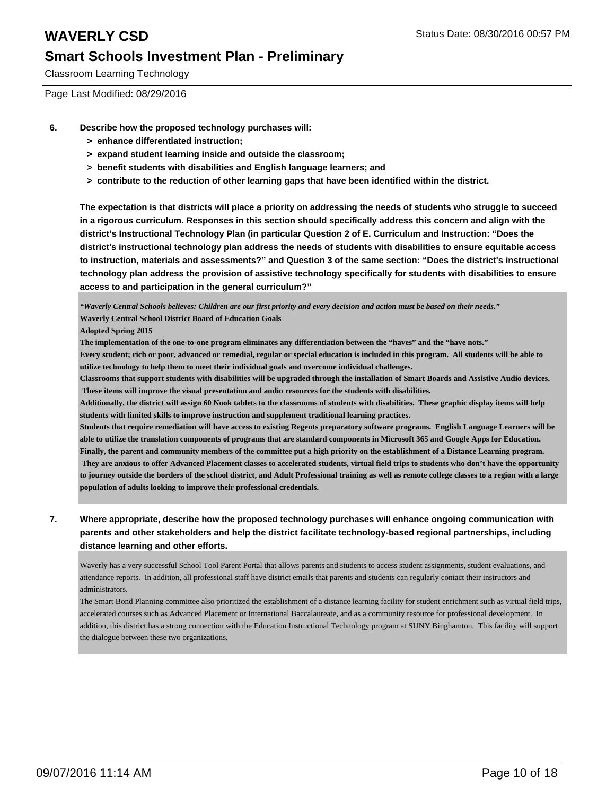Classroom Learning Technology

Page Last Modified: 08/29/2016

- **6. Describe how the proposed technology purchases will:**
	- **> enhance differentiated instruction;**
	- **> expand student learning inside and outside the classroom;**
	- **> benefit students with disabilities and English language learners; and**
	- **> contribute to the reduction of other learning gaps that have been identified within the district.**

**The expectation is that districts will place a priority on addressing the needs of students who struggle to succeed in a rigorous curriculum. Responses in this section should specifically address this concern and align with the district's Instructional Technology Plan (in particular Question 2 of E. Curriculum and Instruction: "Does the district's instructional technology plan address the needs of students with disabilities to ensure equitable access to instruction, materials and assessments?" and Question 3 of the same section: "Does the district's instructional technology plan address the provision of assistive technology specifically for students with disabilities to ensure access to and participation in the general curriculum?"**

*"Waverly Central Schools believes: Children are our first priority and every decision and action must be based on their needs."* **Waverly Central School District Board of Education Goals**

**Adopted Spring 2015** 

**The implementation of the one-to-one program eliminates any differentiation between the "haves" and the "have nots."**

**Every student; rich or poor, advanced or remedial, regular or special education is included in this program. All students will be able to utilize technology to help them to meet their individual goals and overcome individual challenges.** 

**Classrooms that support students with disabilities will be upgraded through the installation of Smart Boards and Assistive Audio devices. These items will improve the visual presentation and audio resources for the students with disabilities.**

**Additionally, the district will assign 60 Nook tablets to the classrooms of students with disabilities. These graphic display items will help students with limited skills to improve instruction and supplement traditional learning practices.** 

**Students that require remediation will have access to existing Regents preparatory software programs. English Language Learners will be able to utilize the translation components of programs that are standard components in Microsoft 365 and Google Apps for Education.**

**Finally, the parent and community members of the committee put a high priority on the establishment of a Distance Learning program. They are anxious to offer Advanced Placement classes to accelerated students, virtual field trips to students who don't have the opportunity**

**to journey outside the borders of the school district, and Adult Professional training as well as remote college classes to a region with a large population of adults looking to improve their professional credentials.**

**7. Where appropriate, describe how the proposed technology purchases will enhance ongoing communication with parents and other stakeholders and help the district facilitate technology-based regional partnerships, including distance learning and other efforts.**

Waverly has a very successful School Tool Parent Portal that allows parents and students to access student assignments, student evaluations, and attendance reports. In addition, all professional staff have district emails that parents and students can regularly contact their instructors and administrators.

The Smart Bond Planning committee also prioritized the establishment of a distance learning facility for student enrichment such as virtual field trips, accelerated courses such as Advanced Placement or International Baccalaureate, and as a community resource for professional development. In addition, this district has a strong connection with the Education Instructional Technology program at SUNY Binghamton. This facility will support the dialogue between these two organizations.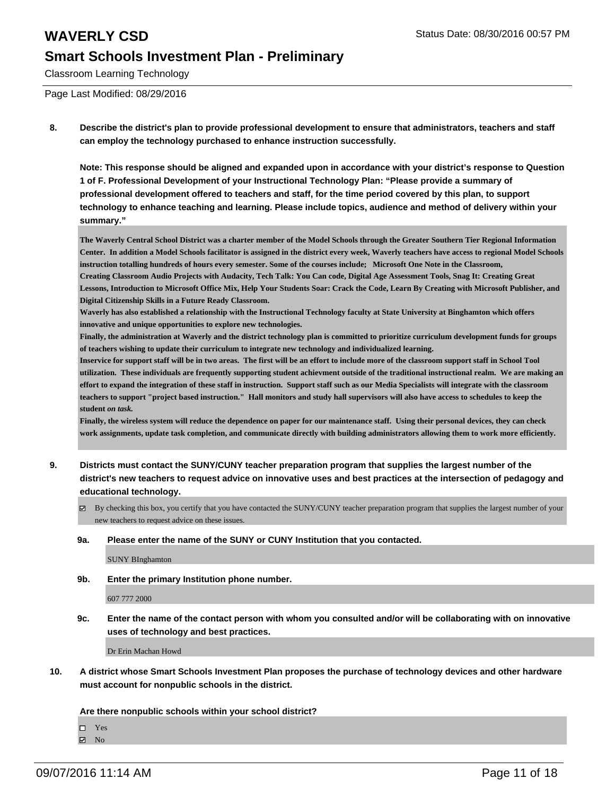Classroom Learning Technology

Page Last Modified: 08/29/2016

**8. Describe the district's plan to provide professional development to ensure that administrators, teachers and staff can employ the technology purchased to enhance instruction successfully.**

**Note: This response should be aligned and expanded upon in accordance with your district's response to Question 1 of F. Professional Development of your Instructional Technology Plan: "Please provide a summary of professional development offered to teachers and staff, for the time period covered by this plan, to support technology to enhance teaching and learning. Please include topics, audience and method of delivery within your summary."**

**The Waverly Central School District was a charter member of the Model Schools through the Greater Southern Tier Regional Information Center. In addition a Model Schools facilitator is assigned in the district every week, Waverly teachers have access to regional Model Schools instruction totalling hundreds of hours every semester. Some of the courses include; Microsoft One Note in the Classroom, Creating Classroom Audio Projects with Audacity, Tech Talk: You Can code, Digital Age Assessment Tools, Snag It: Creating Great Lessons, Introduction to Microsoft Office Mix, Help Your Students Soar: Crack the Code, Learn By Creating with Microsoft Publisher, and**

**Waverly has also established a relationship with the Instructional Technology faculty at State University at Binghamton which offers innovative and unique opportunities to explore new technologies.** 

**Finally, the administration at Waverly and the district technology plan is committed to prioritize curriculum development funds for groups of teachers wishing to update their curriculum to integrate new technology and individualized learning.**

**Inservice for support staff will be in two areas. The first will be an effort to include more of the classroom support staff in School Tool utilization. These individuals are frequently supporting student achievment outside of the traditional instructional realm. We are making an effort to expand the integration of these staff in instruction. Support staff such as our Media Specialists will integrate with the classroom teachers to support "project based instruction." Hall monitors and study hall supervisors will also have access to schedules to keep the student** *on task.*

**Finally, the wireless system will reduce the dependence on paper for our maintenance staff. Using their personal devices, they can check work assignments, update task completion, and communicate directly with building administrators allowing them to work more efficiently.**

- **9. Districts must contact the SUNY/CUNY teacher preparation program that supplies the largest number of the district's new teachers to request advice on innovative uses and best practices at the intersection of pedagogy and educational technology.**
	- By checking this box, you certify that you have contacted the SUNY/CUNY teacher preparation program that supplies the largest number of your new teachers to request advice on these issues.
	- **9a. Please enter the name of the SUNY or CUNY Institution that you contacted.**

SUNY BInghamton

**9b. Enter the primary Institution phone number.**

**Digital Citizenship Skills in a Future Ready Classroom.**

607 777 2000

**9c. Enter the name of the contact person with whom you consulted and/or will be collaborating with on innovative uses of technology and best practices.**

Dr Erin Machan Howd

**10. A district whose Smart Schools Investment Plan proposes the purchase of technology devices and other hardware must account for nonpublic schools in the district.**

**Are there nonpublic schools within your school district?**

□ Yes

 $\boxtimes$  No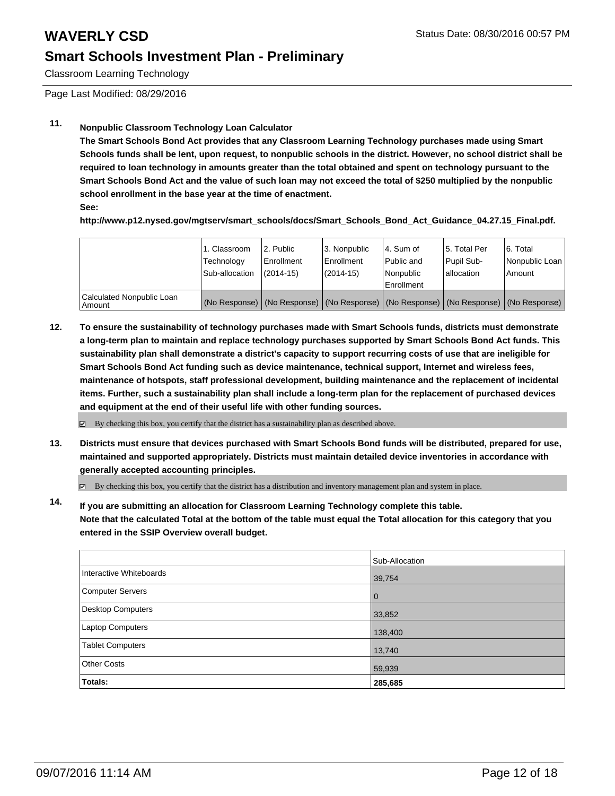Classroom Learning Technology

Page Last Modified: 08/29/2016

### **11. Nonpublic Classroom Technology Loan Calculator**

**The Smart Schools Bond Act provides that any Classroom Learning Technology purchases made using Smart Schools funds shall be lent, upon request, to nonpublic schools in the district. However, no school district shall be required to loan technology in amounts greater than the total obtained and spent on technology pursuant to the Smart Schools Bond Act and the value of such loan may not exceed the total of \$250 multiplied by the nonpublic school enrollment in the base year at the time of enactment.**

**See:**

**http://www.p12.nysed.gov/mgtserv/smart\_schools/docs/Smart\_Schools\_Bond\_Act\_Guidance\_04.27.15\_Final.pdf.**

|                                     | 1. Classroom<br>Technology<br>Sub-allocation | 2. Public<br>l Enrollment<br>$(2014 - 15)$ | 3. Nonpublic<br>Enrollment<br>$(2014 - 15)$ | l 4. Sum of<br>l Public and<br>l Nonpublic<br>Enrollment                                      | 15. Total Per<br>Pupil Sub-<br>lallocation | 6. Total<br>Nonpublic Loan  <br>Amount |
|-------------------------------------|----------------------------------------------|--------------------------------------------|---------------------------------------------|-----------------------------------------------------------------------------------------------|--------------------------------------------|----------------------------------------|
| Calculated Nonpublic Loan<br>Amount |                                              |                                            |                                             | (No Response)   (No Response)   (No Response)   (No Response)   (No Response)   (No Response) |                                            |                                        |

**12. To ensure the sustainability of technology purchases made with Smart Schools funds, districts must demonstrate a long-term plan to maintain and replace technology purchases supported by Smart Schools Bond Act funds. This sustainability plan shall demonstrate a district's capacity to support recurring costs of use that are ineligible for Smart Schools Bond Act funding such as device maintenance, technical support, Internet and wireless fees, maintenance of hotspots, staff professional development, building maintenance and the replacement of incidental items. Further, such a sustainability plan shall include a long-term plan for the replacement of purchased devices and equipment at the end of their useful life with other funding sources.**

 $\boxtimes$  By checking this box, you certify that the district has a sustainability plan as described above.

**13. Districts must ensure that devices purchased with Smart Schools Bond funds will be distributed, prepared for use, maintained and supported appropriately. Districts must maintain detailed device inventories in accordance with generally accepted accounting principles.**

By checking this box, you certify that the district has a distribution and inventory management plan and system in place.

**14. If you are submitting an allocation for Classroom Learning Technology complete this table. Note that the calculated Total at the bottom of the table must equal the Total allocation for this category that you entered in the SSIP Overview overall budget.**

|                          | Sub-Allocation |
|--------------------------|----------------|
| Interactive Whiteboards  | 39,754         |
| <b>Computer Servers</b>  | $\overline{0}$ |
| <b>Desktop Computers</b> | 33,852         |
| Laptop Computers         | 138,400        |
| <b>Tablet Computers</b>  | 13,740         |
| <b>Other Costs</b>       | 59,939         |
| Totals:                  | 285,685        |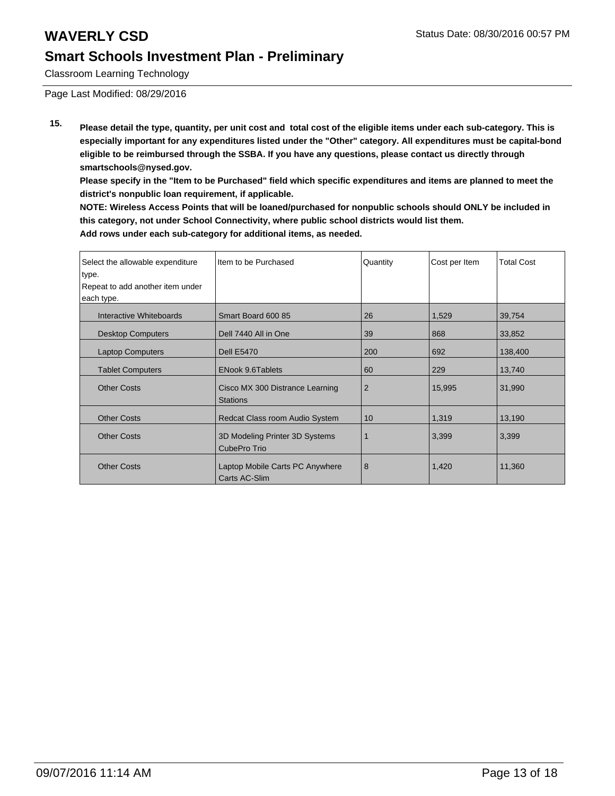Classroom Learning Technology

Page Last Modified: 08/29/2016

**15. Please detail the type, quantity, per unit cost and total cost of the eligible items under each sub-category. This is especially important for any expenditures listed under the "Other" category. All expenditures must be capital-bond eligible to be reimbursed through the SSBA. If you have any questions, please contact us directly through smartschools@nysed.gov.**

**Please specify in the "Item to be Purchased" field which specific expenditures and items are planned to meet the district's nonpublic loan requirement, if applicable.**

**NOTE: Wireless Access Points that will be loaned/purchased for nonpublic schools should ONLY be included in this category, not under School Connectivity, where public school districts would list them. Add rows under each sub-category for additional items, as needed.**

| Select the allowable expenditure | Iltem to be Purchased                              | Quantity       | Cost per Item | <b>Total Cost</b> |
|----------------------------------|----------------------------------------------------|----------------|---------------|-------------------|
| type.                            |                                                    |                |               |                   |
| Repeat to add another item under |                                                    |                |               |                   |
| each type.                       |                                                    |                |               |                   |
| Interactive Whiteboards          | Smart Board 600 85                                 | 26             | 1,529         | 39,754            |
| <b>Desktop Computers</b>         | Dell 7440 All in One                               | 39             | 868           | 33,852            |
| <b>Laptop Computers</b>          | <b>Dell E5470</b>                                  | 200            | 692           | 138,400           |
| <b>Tablet Computers</b>          | <b>ENook 9.6Tablets</b>                            | 60             | 229           | 13,740            |
| <b>Other Costs</b>               | Cisco MX 300 Distrance Learning<br><b>Stations</b> | $\overline{2}$ | 15,995        | 31,990            |
| <b>Other Costs</b>               | Redcat Class room Audio System                     | 10             | 1,319         | 13,190            |
| <b>Other Costs</b>               | 3D Modeling Printer 3D Systems<br>CubePro Trio     |                | 3,399         | 3,399             |
| <b>Other Costs</b>               | Laptop Mobile Carts PC Anywhere<br>Carts AC-Slim   | 8              | 1,420         | 11,360            |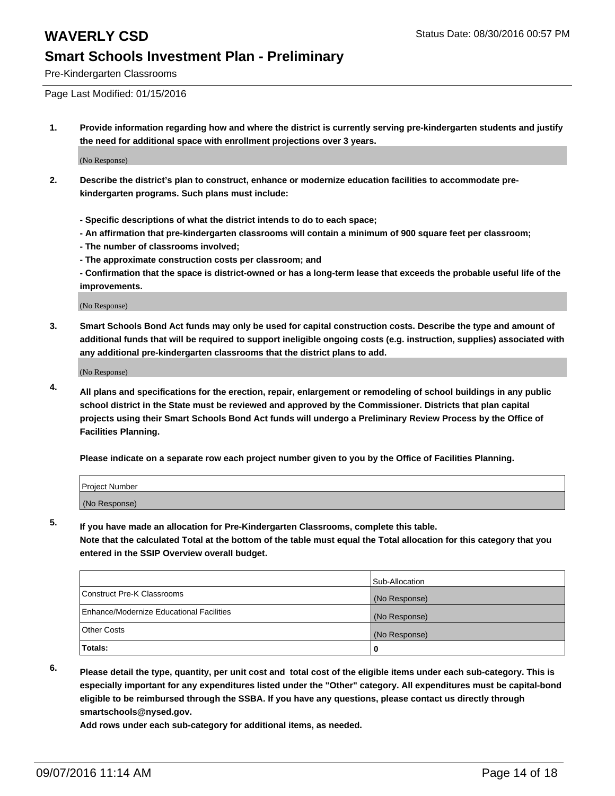Pre-Kindergarten Classrooms

Page Last Modified: 01/15/2016

**1. Provide information regarding how and where the district is currently serving pre-kindergarten students and justify the need for additional space with enrollment projections over 3 years.**

(No Response)

- **2. Describe the district's plan to construct, enhance or modernize education facilities to accommodate prekindergarten programs. Such plans must include:**
	- **Specific descriptions of what the district intends to do to each space;**
	- **An affirmation that pre-kindergarten classrooms will contain a minimum of 900 square feet per classroom;**
	- **The number of classrooms involved;**
	- **The approximate construction costs per classroom; and**
	- **Confirmation that the space is district-owned or has a long-term lease that exceeds the probable useful life of the improvements.**

(No Response)

**3. Smart Schools Bond Act funds may only be used for capital construction costs. Describe the type and amount of additional funds that will be required to support ineligible ongoing costs (e.g. instruction, supplies) associated with any additional pre-kindergarten classrooms that the district plans to add.**

(No Response)

**4. All plans and specifications for the erection, repair, enlargement or remodeling of school buildings in any public school district in the State must be reviewed and approved by the Commissioner. Districts that plan capital projects using their Smart Schools Bond Act funds will undergo a Preliminary Review Process by the Office of Facilities Planning.**

**Please indicate on a separate row each project number given to you by the Office of Facilities Planning.**

| Project Number |  |
|----------------|--|
| (No Response)  |  |

**5. If you have made an allocation for Pre-Kindergarten Classrooms, complete this table.**

**Note that the calculated Total at the bottom of the table must equal the Total allocation for this category that you entered in the SSIP Overview overall budget.**

|                                          | Sub-Allocation |
|------------------------------------------|----------------|
| Construct Pre-K Classrooms               | (No Response)  |
| Enhance/Modernize Educational Facilities | (No Response)  |
| Other Costs                              | (No Response)  |
| Totals:                                  |                |

**6. Please detail the type, quantity, per unit cost and total cost of the eligible items under each sub-category. This is especially important for any expenditures listed under the "Other" category. All expenditures must be capital-bond eligible to be reimbursed through the SSBA. If you have any questions, please contact us directly through smartschools@nysed.gov.**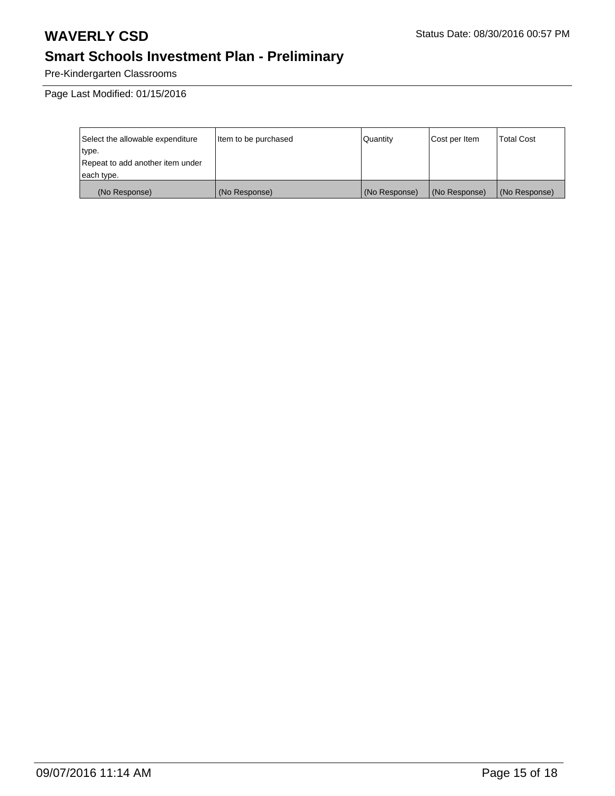Pre-Kindergarten Classrooms

Page Last Modified: 01/15/2016

| Select the allowable expenditure | Item to be purchased | Quantity      | Cost per Item | <b>Total Cost</b> |
|----------------------------------|----------------------|---------------|---------------|-------------------|
| type.                            |                      |               |               |                   |
| Repeat to add another item under |                      |               |               |                   |
| each type.                       |                      |               |               |                   |
| (No Response)                    | (No Response)        | (No Response) | (No Response) | (No Response)     |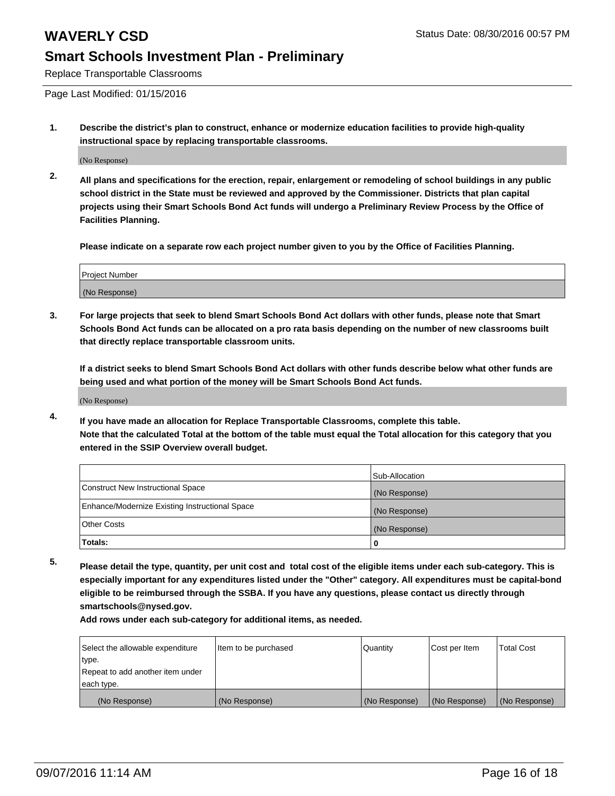Replace Transportable Classrooms

Page Last Modified: 01/15/2016

**1. Describe the district's plan to construct, enhance or modernize education facilities to provide high-quality instructional space by replacing transportable classrooms.**

(No Response)

**2. All plans and specifications for the erection, repair, enlargement or remodeling of school buildings in any public school district in the State must be reviewed and approved by the Commissioner. Districts that plan capital projects using their Smart Schools Bond Act funds will undergo a Preliminary Review Process by the Office of Facilities Planning.**

**Please indicate on a separate row each project number given to you by the Office of Facilities Planning.**

| Project Number |  |
|----------------|--|
| (No Response)  |  |

**3. For large projects that seek to blend Smart Schools Bond Act dollars with other funds, please note that Smart Schools Bond Act funds can be allocated on a pro rata basis depending on the number of new classrooms built that directly replace transportable classroom units.**

**If a district seeks to blend Smart Schools Bond Act dollars with other funds describe below what other funds are being used and what portion of the money will be Smart Schools Bond Act funds.**

(No Response)

**4. If you have made an allocation for Replace Transportable Classrooms, complete this table. Note that the calculated Total at the bottom of the table must equal the Total allocation for this category that you entered in the SSIP Overview overall budget.**

|                                                | Sub-Allocation |
|------------------------------------------------|----------------|
| Construct New Instructional Space              | (No Response)  |
| Enhance/Modernize Existing Instructional Space | (No Response)  |
| Other Costs                                    | (No Response)  |
| Totals:                                        | o              |

**5. Please detail the type, quantity, per unit cost and total cost of the eligible items under each sub-category. This is especially important for any expenditures listed under the "Other" category. All expenditures must be capital-bond eligible to be reimbursed through the SSBA. If you have any questions, please contact us directly through smartschools@nysed.gov.**

| Select the allowable expenditure | Item to be purchased | Quantity      | Cost per Item | Total Cost    |
|----------------------------------|----------------------|---------------|---------------|---------------|
| type.                            |                      |               |               |               |
| Repeat to add another item under |                      |               |               |               |
| each type.                       |                      |               |               |               |
| (No Response)                    | (No Response)        | (No Response) | (No Response) | (No Response) |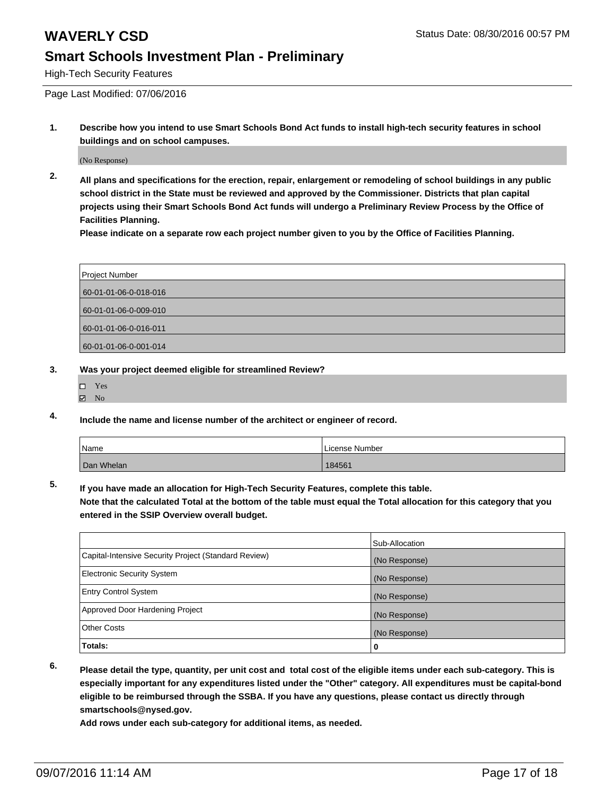High-Tech Security Features

Page Last Modified: 07/06/2016

**1. Describe how you intend to use Smart Schools Bond Act funds to install high-tech security features in school buildings and on school campuses.**

(No Response)

**2. All plans and specifications for the erection, repair, enlargement or remodeling of school buildings in any public school district in the State must be reviewed and approved by the Commissioner. Districts that plan capital projects using their Smart Schools Bond Act funds will undergo a Preliminary Review Process by the Office of Facilities Planning.** 

**Please indicate on a separate row each project number given to you by the Office of Facilities Planning.**

| Project Number        |  |
|-----------------------|--|
| 60-01-01-06-0-018-016 |  |
| 60-01-01-06-0-009-010 |  |
| 60-01-01-06-0-016-011 |  |
| 60-01-01-06-0-001-014 |  |

- **3. Was your project deemed eligible for streamlined Review?**
	- □ Yes
	- $\boxtimes$  No
- **4. Include the name and license number of the architect or engineer of record.**

| Name       | License Number |
|------------|----------------|
| Dan Whelan | 184561         |

**5. If you have made an allocation for High-Tech Security Features, complete this table.**

**Note that the calculated Total at the bottom of the table must equal the Total allocation for this category that you entered in the SSIP Overview overall budget.**

| <b>Electronic Security System</b>                              | (No Response)      |
|----------------------------------------------------------------|--------------------|
| <b>Entry Control System</b><br>Approved Door Hardening Project | (No Response)      |
| <b>Other Costs</b>                                             | (No Response)      |
| Totals:                                                        | (No Response)<br>0 |

**6. Please detail the type, quantity, per unit cost and total cost of the eligible items under each sub-category. This is especially important for any expenditures listed under the "Other" category. All expenditures must be capital-bond eligible to be reimbursed through the SSBA. If you have any questions, please contact us directly through smartschools@nysed.gov.**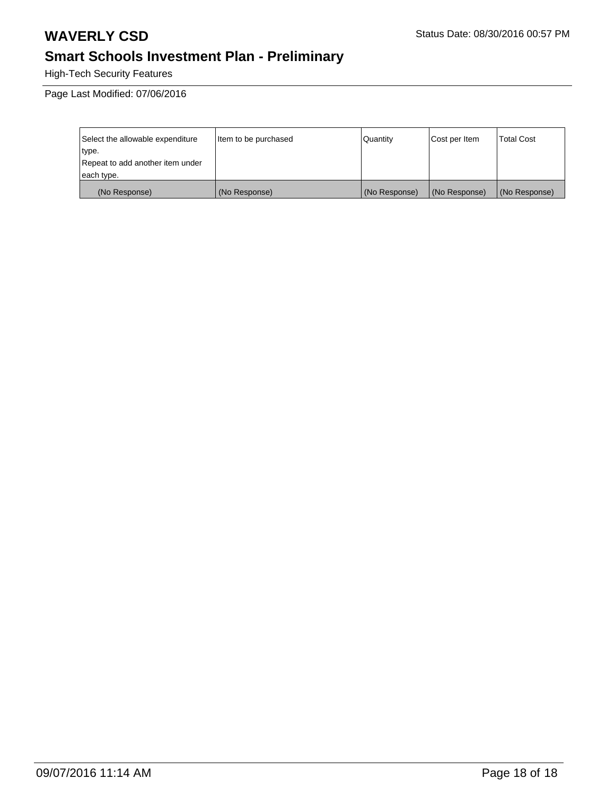High-Tech Security Features

Page Last Modified: 07/06/2016

| Select the allowable expenditure | Item to be purchased | Quantity      | Cost per Item | <b>Total Cost</b> |
|----------------------------------|----------------------|---------------|---------------|-------------------|
| type.                            |                      |               |               |                   |
| Repeat to add another item under |                      |               |               |                   |
| each type.                       |                      |               |               |                   |
| (No Response)                    | (No Response)        | (No Response) | (No Response) | (No Response)     |